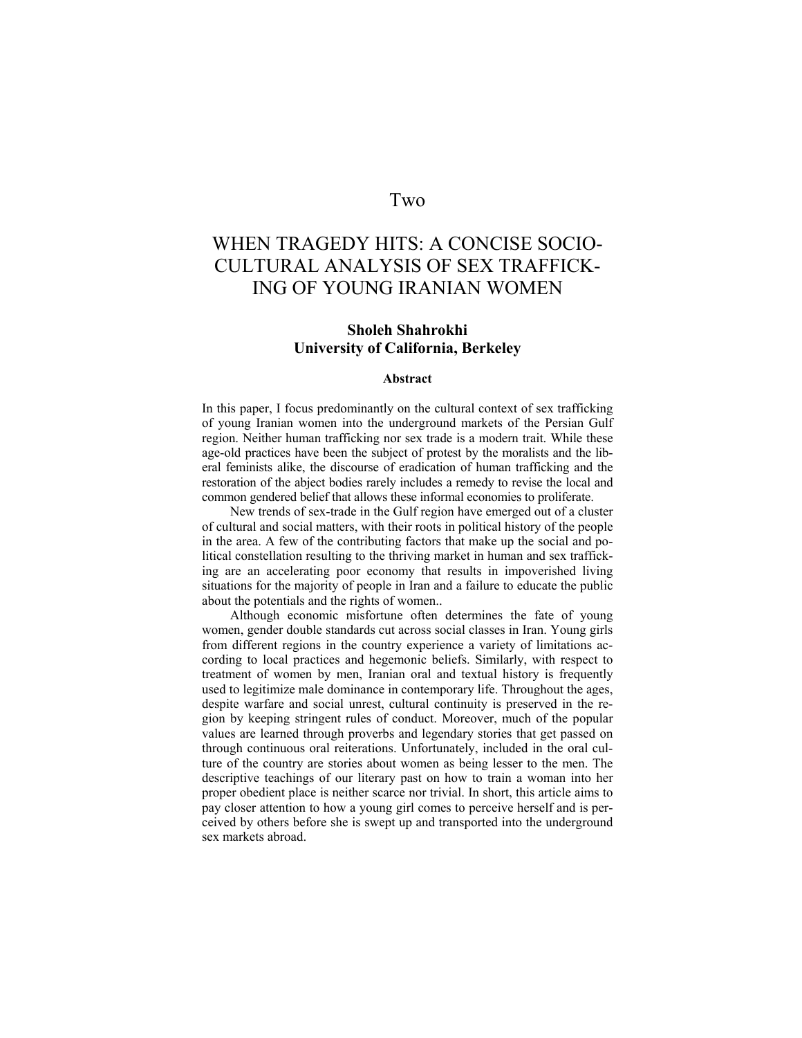## Two

# WHEN TRAGEDY HITS: A CONCISE SOCIO-CULTURAL ANALYSIS OF SEX TRAFFICK-ING OF YOUNG IRANIAN WOMEN

### **Sholeh Shahrokhi University of California, Berkeley**

#### **Abstract**

In this paper, I focus predominantly on the cultural context of sex trafficking of young Iranian women into the underground markets of the Persian Gulf region. Neither human trafficking nor sex trade is a modern trait. While these age-old practices have been the subject of protest by the moralists and the liberal feminists alike, the discourse of eradication of human trafficking and the restoration of the abject bodies rarely includes a remedy to revise the local and common gendered belief that allows these informal economies to proliferate.

New trends of sex-trade in the Gulf region have emerged out of a cluster of cultural and social matters, with their roots in political history of the people in the area. A few of the contributing factors that make up the social and political constellation resulting to the thriving market in human and sex trafficking are an accelerating poor economy that results in impoverished living situations for the majority of people in Iran and a failure to educate the public about the potentials and the rights of women..

Although economic misfortune often determines the fate of young women, gender double standards cut across social classes in Iran. Young girls from different regions in the country experience a variety of limitations according to local practices and hegemonic beliefs. Similarly, with respect to treatment of women by men, Iranian oral and textual history is frequently used to legitimize male dominance in contemporary life. Throughout the ages, despite warfare and social unrest, cultural continuity is preserved in the region by keeping stringent rules of conduct. Moreover, much of the popular values are learned through proverbs and legendary stories that get passed on through continuous oral reiterations. Unfortunately, included in the oral culture of the country are stories about women as being lesser to the men. The descriptive teachings of our literary past on how to train a woman into her proper obedient place is neither scarce nor trivial. In short, this article aims to pay closer attention to how a young girl comes to perceive herself and is perceived by others before she is swept up and transported into the underground sex markets abroad.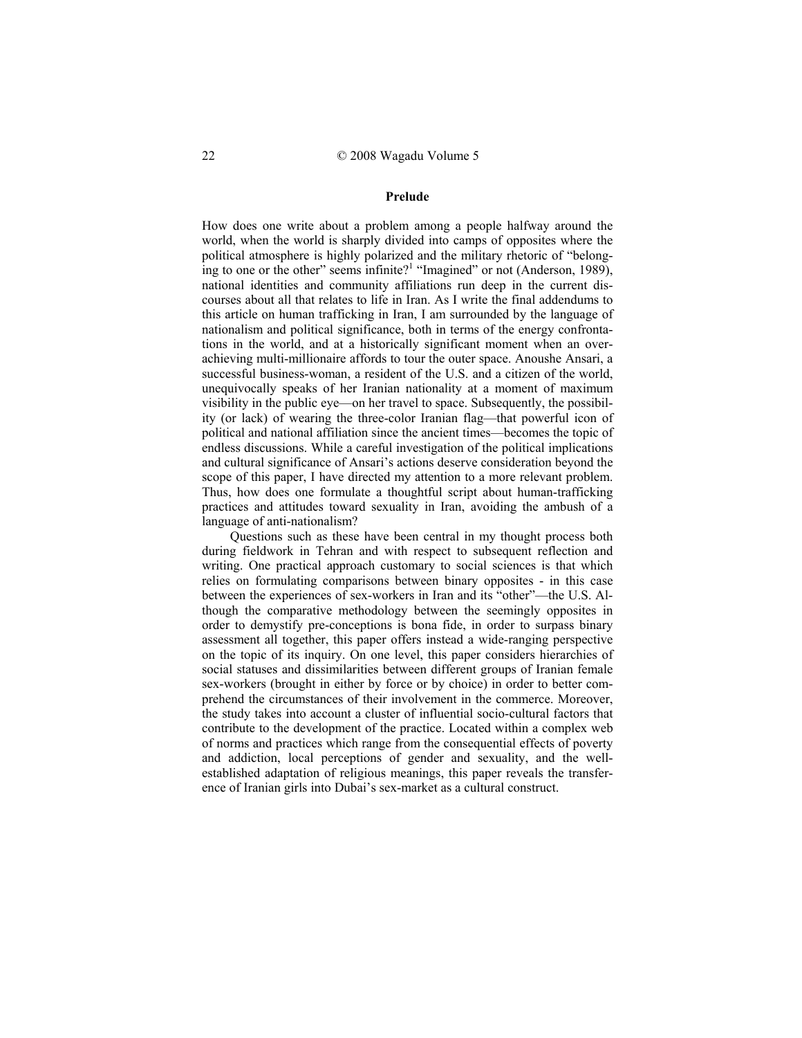#### **Prelude**

How does one write about a problem among a people halfway around the world, when the world is sharply divided into camps of opposites where the political atmosphere is highly polarized and the military rhetoric of "belonging to one or the other" seems infinite?<sup>1</sup> "Imagined" or not (Anderson, 1989), national identities and community affiliations run deep in the current discourses about all that relates to life in Iran. As I write the final addendums to this article on human trafficking in Iran, I am surrounded by the language of nationalism and political significance, both in terms of the energy confrontations in the world, and at a historically significant moment when an overachieving multi-millionaire affords to tour the outer space. Anoushe Ansari, a successful business-woman, a resident of the U.S. and a citizen of the world, unequivocally speaks of her Iranian nationality at a moment of maximum visibility in the public eye—on her travel to space. Subsequently, the possibility (or lack) of wearing the three-color Iranian flag—that powerful icon of political and national affiliation since the ancient times—becomes the topic of endless discussions. While a careful investigation of the political implications and cultural significance of Ansari's actions deserve consideration beyond the scope of this paper, I have directed my attention to a more relevant problem. Thus, how does one formulate a thoughtful script about human-trafficking practices and attitudes toward sexuality in Iran, avoiding the ambush of a language of anti-nationalism?

Questions such as these have been central in my thought process both during fieldwork in Tehran and with respect to subsequent reflection and writing. One practical approach customary to social sciences is that which relies on formulating comparisons between binary opposites - in this case between the experiences of sex-workers in Iran and its "other"—the U.S. Although the comparative methodology between the seemingly opposites in order to demystify pre-conceptions is bona fide, in order to surpass binary assessment all together, this paper offers instead a wide-ranging perspective on the topic of its inquiry. On one level, this paper considers hierarchies of social statuses and dissimilarities between different groups of Iranian female sex-workers (brought in either by force or by choice) in order to better comprehend the circumstances of their involvement in the commerce. Moreover, the study takes into account a cluster of influential socio-cultural factors that contribute to the development of the practice. Located within a complex web of norms and practices which range from the consequential effects of poverty and addiction, local perceptions of gender and sexuality, and the wellestablished adaptation of religious meanings, this paper reveals the transference of Iranian girls into Dubai's sex-market as a cultural construct.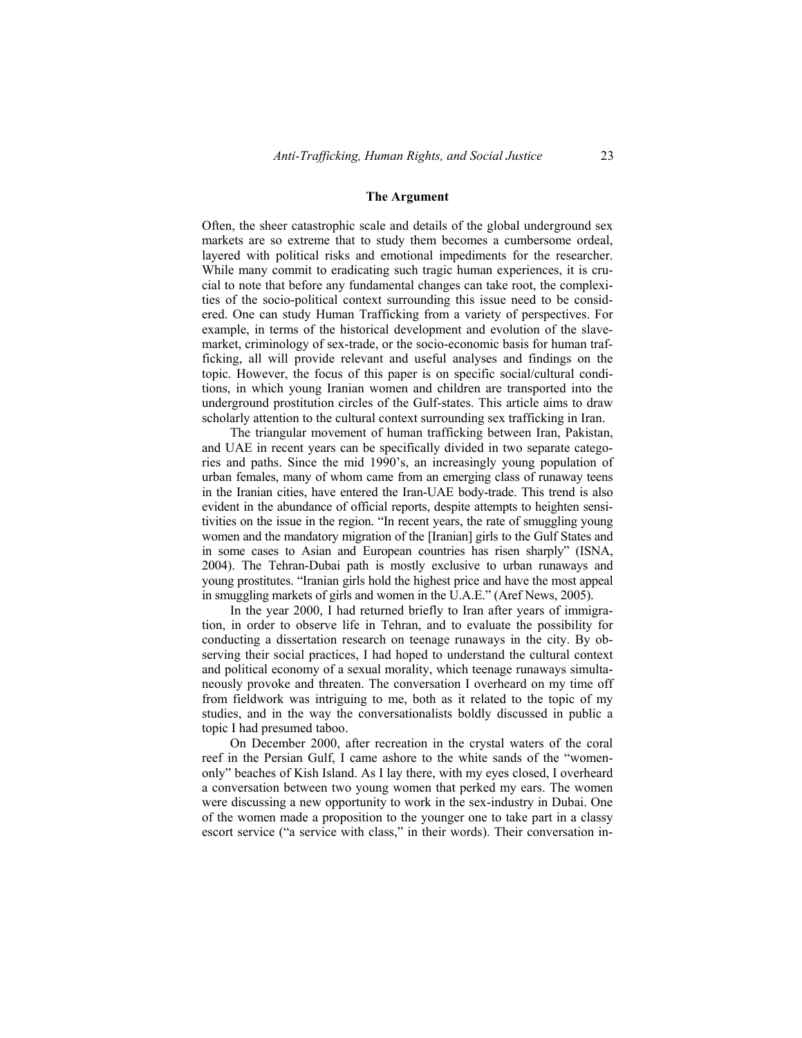#### **The Argument**

Often, the sheer catastrophic scale and details of the global underground sex markets are so extreme that to study them becomes a cumbersome ordeal, layered with political risks and emotional impediments for the researcher. While many commit to eradicating such tragic human experiences, it is crucial to note that before any fundamental changes can take root, the complexities of the socio-political context surrounding this issue need to be considered. One can study Human Trafficking from a variety of perspectives. For example, in terms of the historical development and evolution of the slavemarket, criminology of sex-trade, or the socio-economic basis for human trafficking, all will provide relevant and useful analyses and findings on the topic. However, the focus of this paper is on specific social/cultural conditions, in which young Iranian women and children are transported into the underground prostitution circles of the Gulf-states. This article aims to draw scholarly attention to the cultural context surrounding sex trafficking in Iran.

The triangular movement of human trafficking between Iran, Pakistan, and UAE in recent years can be specifically divided in two separate categories and paths. Since the mid 1990's, an increasingly young population of urban females, many of whom came from an emerging class of runaway teens in the Iranian cities, have entered the Iran-UAE body-trade. This trend is also evident in the abundance of official reports, despite attempts to heighten sensitivities on the issue in the region. "In recent years, the rate of smuggling young women and the mandatory migration of the [Iranian] girls to the Gulf States and in some cases to Asian and European countries has risen sharply" (ISNA, 2004). The Tehran-Dubai path is mostly exclusive to urban runaways and young prostitutes. "Iranian girls hold the highest price and have the most appeal in smuggling markets of girls and women in the U.A.E." (Aref News, 2005).

In the year 2000, I had returned briefly to Iran after years of immigration, in order to observe life in Tehran, and to evaluate the possibility for conducting a dissertation research on teenage runaways in the city. By observing their social practices, I had hoped to understand the cultural context and political economy of a sexual morality, which teenage runaways simultaneously provoke and threaten. The conversation I overheard on my time off from fieldwork was intriguing to me, both as it related to the topic of my studies, and in the way the conversationalists boldly discussed in public a topic I had presumed taboo.

On December 2000, after recreation in the crystal waters of the coral reef in the Persian Gulf, I came ashore to the white sands of the "womenonly" beaches of Kish Island. As I lay there, with my eyes closed, I overheard a conversation between two young women that perked my ears. The women were discussing a new opportunity to work in the sex-industry in Dubai. One of the women made a proposition to the younger one to take part in a classy escort service ("a service with class," in their words). Their conversation in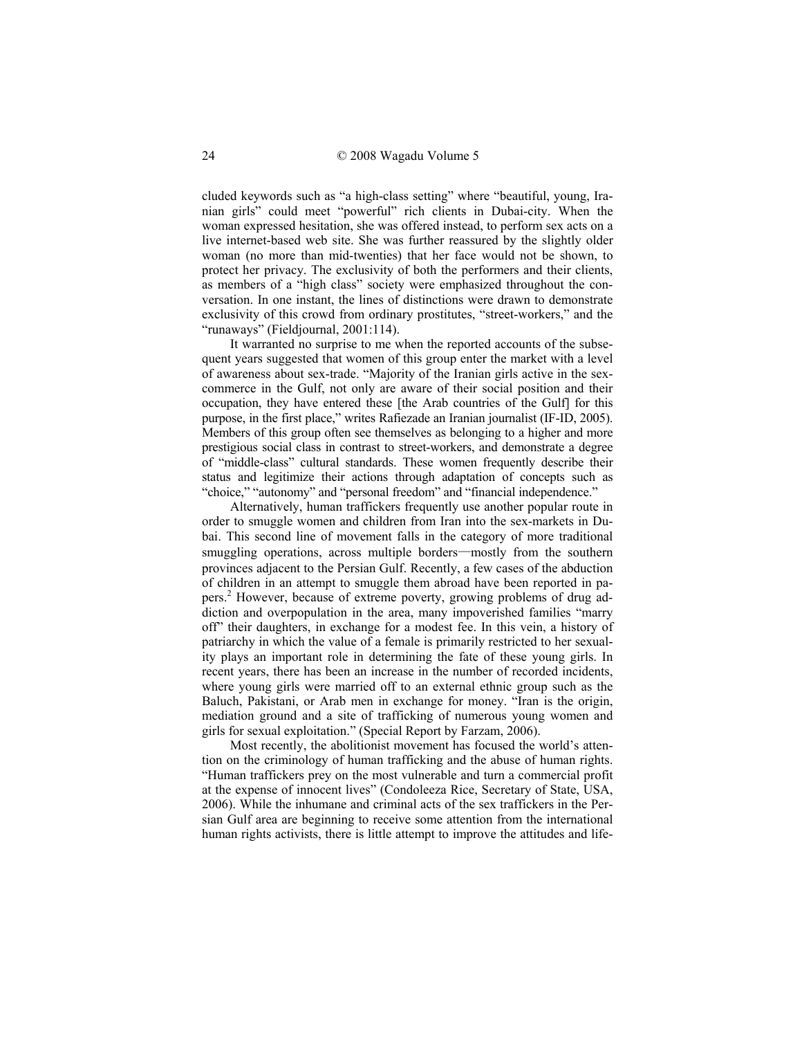cluded keywords such as "a high-class setting" where "beautiful, young, Iranian girls" could meet "powerful" rich clients in Dubai-city. When the woman expressed hesitation, she was offered instead, to perform sex acts on a live internet-based web site. She was further reassured by the slightly older woman (no more than mid-twenties) that her face would not be shown, to protect her privacy. The exclusivity of both the performers and their clients, as members of a "high class" society were emphasized throughout the conversation. In one instant, the lines of distinctions were drawn to demonstrate exclusivity of this crowd from ordinary prostitutes, "street-workers," and the "runaways" (Fieldjournal, 2001:114).

It warranted no surprise to me when the reported accounts of the subsequent years suggested that women of this group enter the market with a level of awareness about sex-trade. "Majority of the Iranian girls active in the sexcommerce in the Gulf, not only are aware of their social position and their occupation, they have entered these [the Arab countries of the Gulf] for this purpose, in the first place," writes Rafiezade an Iranian journalist (IF-ID, 2005). Members of this group often see themselves as belonging to a higher and more prestigious social class in contrast to street-workers, and demonstrate a degree of "middle-class" cultural standards. These women frequently describe their status and legitimize their actions through adaptation of concepts such as "choice," "autonomy" and "personal freedom" and "financial independence."

Alternatively, human traffickers frequently use another popular route in order to smuggle women and children from Iran into the sex-markets in Dubai. This second line of movement falls in the category of more traditional smuggling operations, across multiple borders—mostly from the southern provinces adjacent to the Persian Gulf. Recently, a few cases of the abduction of children in an attempt to smuggle them abroad have been reported in papers.<sup>2</sup> However, because of extreme poverty, growing problems of drug addiction and overpopulation in the area, many impoverished families "marry off" their daughters, in exchange for a modest fee. In this vein, a history of patriarchy in which the value of a female is primarily restricted to her sexuality plays an important role in determining the fate of these young girls. In recent years, there has been an increase in the number of recorded incidents, where young girls were married off to an external ethnic group such as the Baluch, Pakistani, or Arab men in exchange for money. "Iran is the origin, mediation ground and a site of trafficking of numerous young women and girls for sexual exploitation." (Special Report by Farzam, 2006).

Most recently, the abolitionist movement has focused the world's attention on the criminology of human trafficking and the abuse of human rights. "Human traffickers prey on the most vulnerable and turn a commercial profit at the expense of innocent lives" (Condoleeza Rice, Secretary of State, USA, 2006). While the inhumane and criminal acts of the sex traffickers in the Persian Gulf area are beginning to receive some attention from the international human rights activists, there is little attempt to improve the attitudes and life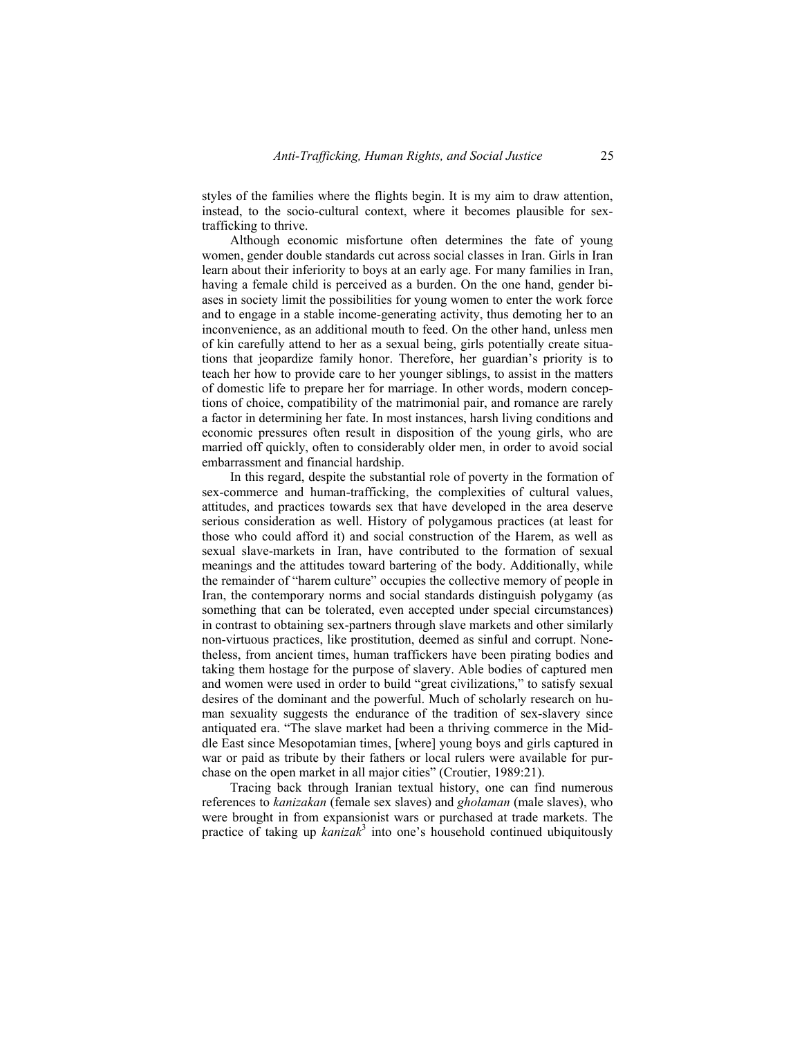styles of the families where the flights begin. It is my aim to draw attention, instead, to the socio-cultural context, where it becomes plausible for sextrafficking to thrive.

Although economic misfortune often determines the fate of young women, gender double standards cut across social classes in Iran. Girls in Iran learn about their inferiority to boys at an early age. For many families in Iran, having a female child is perceived as a burden. On the one hand, gender biases in society limit the possibilities for young women to enter the work force and to engage in a stable income-generating activity, thus demoting her to an inconvenience, as an additional mouth to feed. On the other hand, unless men of kin carefully attend to her as a sexual being, girls potentially create situations that jeopardize family honor. Therefore, her guardian's priority is to teach her how to provide care to her younger siblings, to assist in the matters of domestic life to prepare her for marriage. In other words, modern conceptions of choice, compatibility of the matrimonial pair, and romance are rarely a factor in determining her fate. In most instances, harsh living conditions and economic pressures often result in disposition of the young girls, who are married off quickly, often to considerably older men, in order to avoid social embarrassment and financial hardship.

In this regard, despite the substantial role of poverty in the formation of sex-commerce and human-trafficking, the complexities of cultural values, attitudes, and practices towards sex that have developed in the area deserve serious consideration as well. History of polygamous practices (at least for those who could afford it) and social construction of the Harem, as well as sexual slave-markets in Iran, have contributed to the formation of sexual meanings and the attitudes toward bartering of the body. Additionally, while the remainder of "harem culture" occupies the collective memory of people in Iran, the contemporary norms and social standards distinguish polygamy (as something that can be tolerated, even accepted under special circumstances) in contrast to obtaining sex-partners through slave markets and other similarly non-virtuous practices, like prostitution, deemed as sinful and corrupt. Nonetheless, from ancient times, human traffickers have been pirating bodies and taking them hostage for the purpose of slavery. Able bodies of captured men and women were used in order to build "great civilizations," to satisfy sexual desires of the dominant and the powerful. Much of scholarly research on human sexuality suggests the endurance of the tradition of sex-slavery since antiquated era. "The slave market had been a thriving commerce in the Middle East since Mesopotamian times, [where] young boys and girls captured in war or paid as tribute by their fathers or local rulers were available for purchase on the open market in all major cities" (Croutier, 1989:21).

Tracing back through Iranian textual history, one can find numerous references to *kanizakan* (female sex slaves) and *gholaman* (male slaves), who were brought in from expansionist wars or purchased at trade markets. The practice of taking up *kanizak*<sup>3</sup> into one's household continued ubiquitously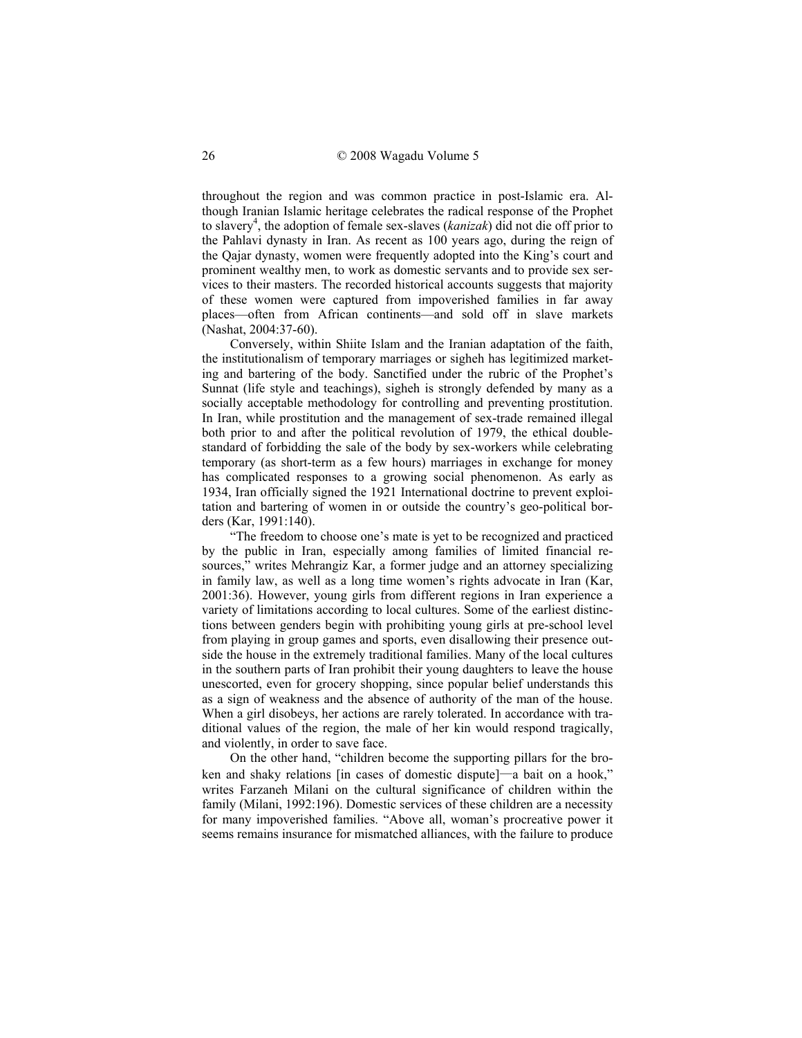throughout the region and was common practice in post-Islamic era. Although Iranian Islamic heritage celebrates the radical response of the Prophet to slavery4 , the adoption of female sex-slaves (*kanizak*) did not die off prior to the Pahlavi dynasty in Iran. As recent as 100 years ago, during the reign of the Qajar dynasty, women were frequently adopted into the King's court and prominent wealthy men, to work as domestic servants and to provide sex services to their masters. The recorded historical accounts suggests that majority of these women were captured from impoverished families in far away places—often from African continents—and sold off in slave markets (Nashat, 2004:37-60).

Conversely, within Shiite Islam and the Iranian adaptation of the faith, the institutionalism of temporary marriages or sigheh has legitimized marketing and bartering of the body. Sanctified under the rubric of the Prophet's Sunnat (life style and teachings), sigheh is strongly defended by many as a socially acceptable methodology for controlling and preventing prostitution. In Iran, while prostitution and the management of sex-trade remained illegal both prior to and after the political revolution of 1979, the ethical doublestandard of forbidding the sale of the body by sex-workers while celebrating temporary (as short-term as a few hours) marriages in exchange for money has complicated responses to a growing social phenomenon. As early as 1934, Iran officially signed the 1921 International doctrine to prevent exploitation and bartering of women in or outside the country's geo-political borders (Kar, 1991:140).

"The freedom to choose one's mate is yet to be recognized and practiced by the public in Iran, especially among families of limited financial resources," writes Mehrangiz Kar, a former judge and an attorney specializing in family law, as well as a long time women's rights advocate in Iran (Kar, 2001:36). However, young girls from different regions in Iran experience a variety of limitations according to local cultures. Some of the earliest distinctions between genders begin with prohibiting young girls at pre-school level from playing in group games and sports, even disallowing their presence outside the house in the extremely traditional families. Many of the local cultures in the southern parts of Iran prohibit their young daughters to leave the house unescorted, even for grocery shopping, since popular belief understands this as a sign of weakness and the absence of authority of the man of the house. When a girl disobeys, her actions are rarely tolerated. In accordance with traditional values of the region, the male of her kin would respond tragically, and violently, in order to save face.

On the other hand, "children become the supporting pillars for the broken and shaky relations [in cases of domestic dispute]—a bait on a hook," writes Farzaneh Milani on the cultural significance of children within the family (Milani, 1992:196). Domestic services of these children are a necessity for many impoverished families. "Above all, woman's procreative power it seems remains insurance for mismatched alliances, with the failure to produce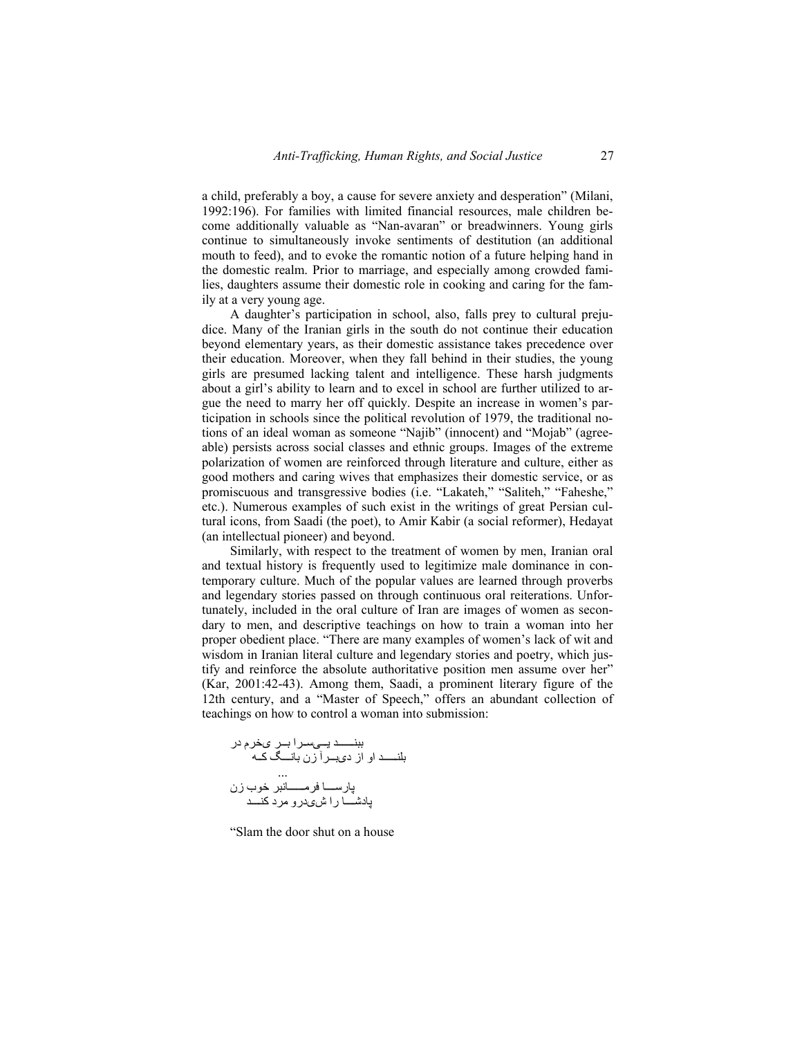a child, preferably a boy, a cause for severe anxiety and desperation" (Milani, 1992:196). For families with limited financial resources, male children become additionally valuable as "Nan-avaran" or breadwinners. Young girls continue to simultaneously invoke sentiments of destitution (an additional mouth to feed), and to evoke the romantic notion of a future helping hand in the domestic realm. Prior to marriage, and especially among crowded families, daughters assume their domestic role in cooking and caring for the family at a very young age.

A daughter's participation in school, also, falls prey to cultural prejudice. Many of the Iranian girls in the south do not continue their education beyond elementary years, as their domestic assistance takes precedence over their education. Moreover, when they fall behind in their studies, the young girls are presumed lacking talent and intelligence. These harsh judgments about a girl's ability to learn and to excel in school are further utilized to argue the need to marry her off quickly. Despite an increase in women's participation in schools since the political revolution of 1979, the traditional notions of an ideal woman as someone "Najib" (innocent) and "Mojab" (agreeable) persists across social classes and ethnic groups. Images of the extreme polarization of women are reinforced through literature and culture, either as good mothers and caring wives that emphasizes their domestic service, or as promiscuous and transgressive bodies (i.e. "Lakateh," "Saliteh," "Faheshe," etc.). Numerous examples of such exist in the writings of great Persian cultural icons, from Saadi (the poet), to Amir Kabir (a social reformer), Hedayat (an intellectual pioneer) and beyond.

Similarly, with respect to the treatment of women by men, Iranian oral and textual history is frequently used to legitimize male dominance in contemporary culture. Much of the popular values are learned through proverbs and legendary stories passed on through continuous oral reiterations. Unfortunately, included in the oral culture of Iran are images of women as secondary to men, and descriptive teachings on how to train a woman into her proper obedient place. "There are many examples of women's lack of wit and wisdom in Iranian literal culture and legendary stories and poetry, which justify and reinforce the absolute authoritative position men assume over her" (Kar, 2001:42-43). Among them, Saadi, a prominent literary figure of the 12th century, and a "Master of Speech," offers an abundant collection of teachings on how to control a woman into submission:

 ببنѧѧѧѧѧѧѧѧѧѧد يѧѧѧѧیسѧѧرا بѧѧѧѧر یخرم در بلنѧѧѧѧѧѧѧѧد او از دیبѧѧѧѧرآ زن بانѧѧѧѧѧگ کѧѧѧه ... پارسѧѧѧѧѧѧا فرمѧѧѧѧѧѧѧѧѧانبر خوب زن پادشѧѧѧѧѧѧا را شیدرو مرد کنѧѧѧѧѧѧد

"Slam the door shut on a house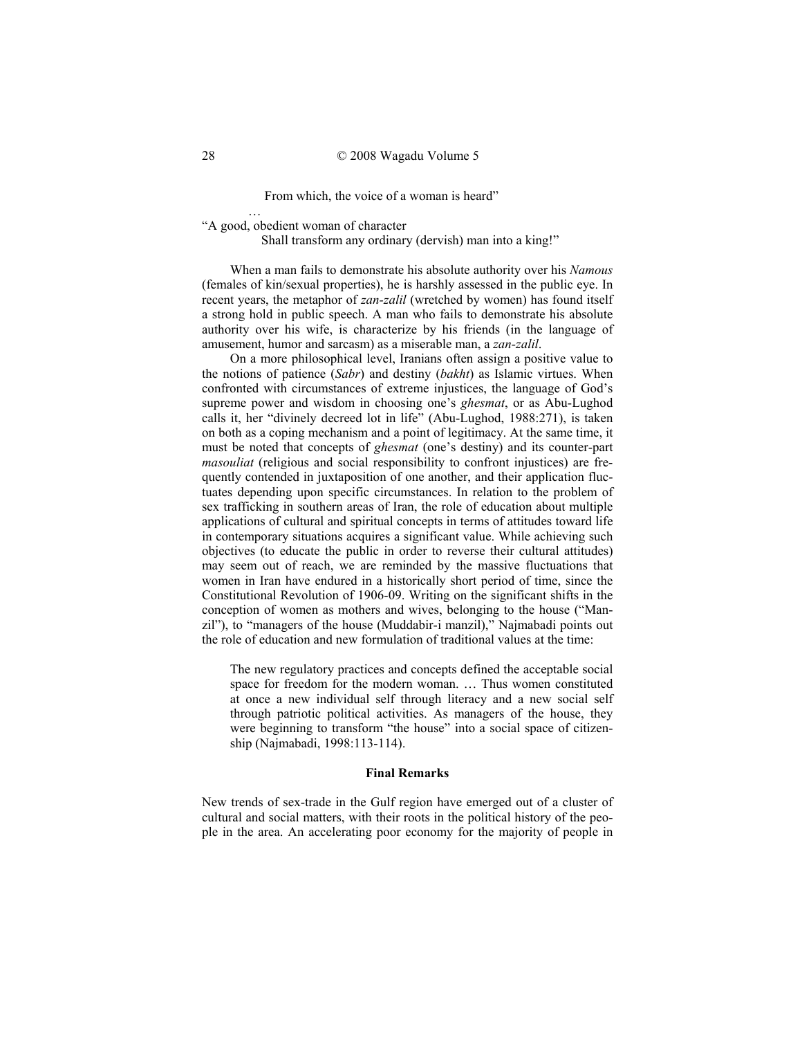#### From which, the voice of a woman is heard"

"A good, obedient woman of character

Shall transform any ordinary (dervish) man into a king!"

When a man fails to demonstrate his absolute authority over his *Namous*  (females of kin/sexual properties), he is harshly assessed in the public eye. In recent years, the metaphor of *zan-zalil* (wretched by women) has found itself a strong hold in public speech. A man who fails to demonstrate his absolute authority over his wife, is characterize by his friends (in the language of amusement, humor and sarcasm) as a miserable man, a *zan-zalil*.

On a more philosophical level, Iranians often assign a positive value to the notions of patience (*Sabr*) and destiny (*bakht*) as Islamic virtues. When confronted with circumstances of extreme injustices, the language of God's supreme power and wisdom in choosing one's *ghesmat*, or as Abu-Lughod calls it, her "divinely decreed lot in life" (Abu-Lughod, 1988:271), is taken on both as a coping mechanism and a point of legitimacy. At the same time, it must be noted that concepts of *ghesmat* (one's destiny) and its counter-part *masouliat* (religious and social responsibility to confront injustices) are frequently contended in juxtaposition of one another, and their application fluctuates depending upon specific circumstances. In relation to the problem of sex trafficking in southern areas of Iran, the role of education about multiple applications of cultural and spiritual concepts in terms of attitudes toward life in contemporary situations acquires a significant value. While achieving such objectives (to educate the public in order to reverse their cultural attitudes) may seem out of reach, we are reminded by the massive fluctuations that women in Iran have endured in a historically short period of time, since the Constitutional Revolution of 1906-09. Writing on the significant shifts in the conception of women as mothers and wives, belonging to the house ("Manzil"), to "managers of the house (Muddabir-i manzil)," Najmabadi points out the role of education and new formulation of traditional values at the time:

The new regulatory practices and concepts defined the acceptable social space for freedom for the modern woman. … Thus women constituted at once a new individual self through literacy and a new social self through patriotic political activities. As managers of the house, they were beginning to transform "the house" into a social space of citizenship (Najmabadi, 1998:113-114).

#### **Final Remarks**

New trends of sex-trade in the Gulf region have emerged out of a cluster of cultural and social matters, with their roots in the political history of the people in the area. An accelerating poor economy for the majority of people in

…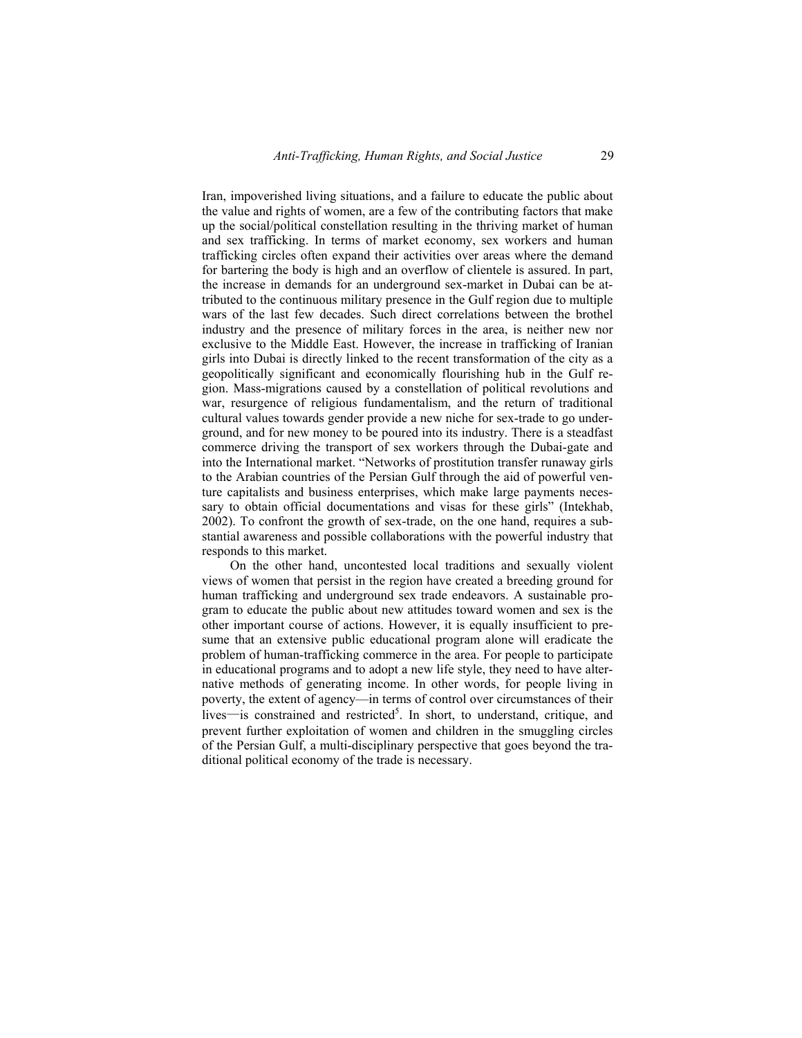Iran, impoverished living situations, and a failure to educate the public about the value and rights of women, are a few of the contributing factors that make up the social/political constellation resulting in the thriving market of human and sex trafficking. In terms of market economy, sex workers and human trafficking circles often expand their activities over areas where the demand for bartering the body is high and an overflow of clientele is assured. In part, the increase in demands for an underground sex-market in Dubai can be attributed to the continuous military presence in the Gulf region due to multiple wars of the last few decades. Such direct correlations between the brothel industry and the presence of military forces in the area, is neither new nor exclusive to the Middle East. However, the increase in trafficking of Iranian girls into Dubai is directly linked to the recent transformation of the city as a geopolitically significant and economically flourishing hub in the Gulf region. Mass-migrations caused by a constellation of political revolutions and war, resurgence of religious fundamentalism, and the return of traditional cultural values towards gender provide a new niche for sex-trade to go underground, and for new money to be poured into its industry. There is a steadfast commerce driving the transport of sex workers through the Dubai-gate and into the International market. "Networks of prostitution transfer runaway girls to the Arabian countries of the Persian Gulf through the aid of powerful venture capitalists and business enterprises, which make large payments necessary to obtain official documentations and visas for these girls" (Intekhab, 2002). To confront the growth of sex-trade, on the one hand, requires a substantial awareness and possible collaborations with the powerful industry that responds to this market.

On the other hand, uncontested local traditions and sexually violent views of women that persist in the region have created a breeding ground for human trafficking and underground sex trade endeavors. A sustainable program to educate the public about new attitudes toward women and sex is the other important course of actions. However, it is equally insufficient to presume that an extensive public educational program alone will eradicate the problem of human-trafficking commerce in the area. For people to participate in educational programs and to adopt a new life style, they need to have alternative methods of generating income. In other words, for people living in poverty, the extent of agency—in terms of control over circumstances of their lives—is constrained and restricted<sup>5</sup>. In short, to understand, critique, and prevent further exploitation of women and children in the smuggling circles of the Persian Gulf, a multi-disciplinary perspective that goes beyond the traditional political economy of the trade is necessary.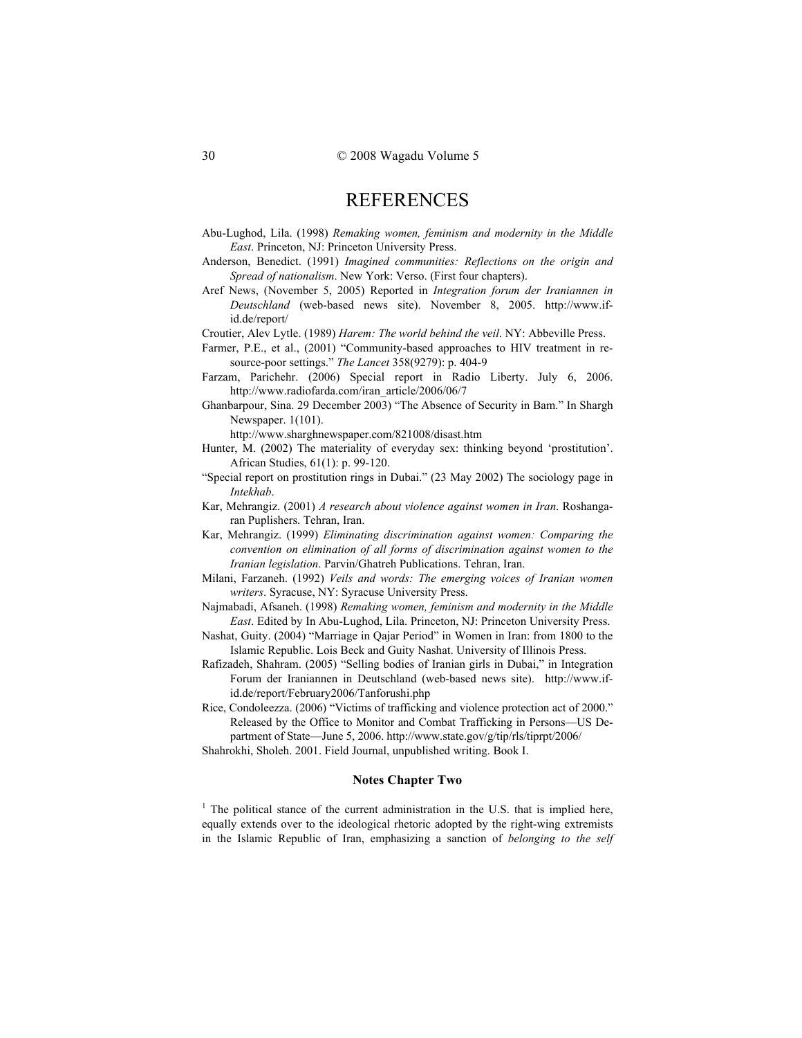## REFERENCES

- Abu-Lughod, Lila. (1998) *Remaking women, feminism and modernity in the Middle East*. Princeton, NJ: Princeton University Press.
- Anderson, Benedict. (1991) *Imagined communities: Reflections on the origin and Spread of nationalism*. New York: Verso. (First four chapters).
- Aref News, (November 5, 2005) Reported in *Integration forum der Iraniannen in Deutschland* (web-based news site). November 8, 2005. http://www.ifid.de/report/
- Croutier, Alev Lytle. (1989) *Harem: The world behind the veil*. NY: Abbeville Press.
- Farmer, P.E., et al., (2001) "Community-based approaches to HIV treatment in resource-poor settings." *The Lancet* 358(9279): p. 404-9
- Farzam, Parichehr. (2006) Special report in Radio Liberty. July 6, 2006. http://www.radiofarda.com/iran\_article/2006/06/7
- Ghanbarpour, Sina. 29 December 2003) "The Absence of Security in Bam." In Shargh Newspaper. 1(101).
	- http://www.sharghnewspaper.com/821008/disast.htm
- Hunter, M. (2002) The materiality of everyday sex: thinking beyond 'prostitution'. African Studies, 61(1): p. 99-120.
- "Special report on prostitution rings in Dubai." (23 May 2002) The sociology page in *Intekhab*.
- Kar, Mehrangiz. (2001) *A research about violence against women in Iran*. Roshangaran Puplishers. Tehran, Iran.
- Kar, Mehrangiz. (1999) *Eliminating discrimination against women: Comparing the convention on elimination of all forms of discrimination against women to the Iranian legislation*. Parvin/Ghatreh Publications. Tehran, Iran.
- Milani, Farzaneh. (1992) *Veils and words: The emerging voices of Iranian women writers*. Syracuse, NY: Syracuse University Press.
- Najmabadi, Afsaneh. (1998) *Remaking women, feminism and modernity in the Middle East*. Edited by In Abu-Lughod, Lila. Princeton, NJ: Princeton University Press.
- Nashat, Guity. (2004) "Marriage in Qajar Period" in Women in Iran: from 1800 to the Islamic Republic. Lois Beck and Guity Nashat. University of Illinois Press.
- Rafizadeh, Shahram. (2005) "Selling bodies of Iranian girls in Dubai," in Integration Forum der Iraniannen in Deutschland (web-based news site). http://www.ifid.de/report/February2006/Tanforushi.php
- Rice, Condoleezza. (2006) "Victims of trafficking and violence protection act of 2000." Released by the Office to Monitor and Combat Trafficking in Persons—US Department of State—June 5, 2006. http://www.state.gov/g/tip/rls/tiprpt/2006/
- Shahrokhi, Sholeh. 2001. Field Journal, unpublished writing. Book I.

#### **Notes Chapter Two**

 $<sup>1</sup>$  The political stance of the current administration in the U.S. that is implied here,</sup> equally extends over to the ideological rhetoric adopted by the right-wing extremists in the Islamic Republic of Iran, emphasizing a sanction of *belonging to the self*